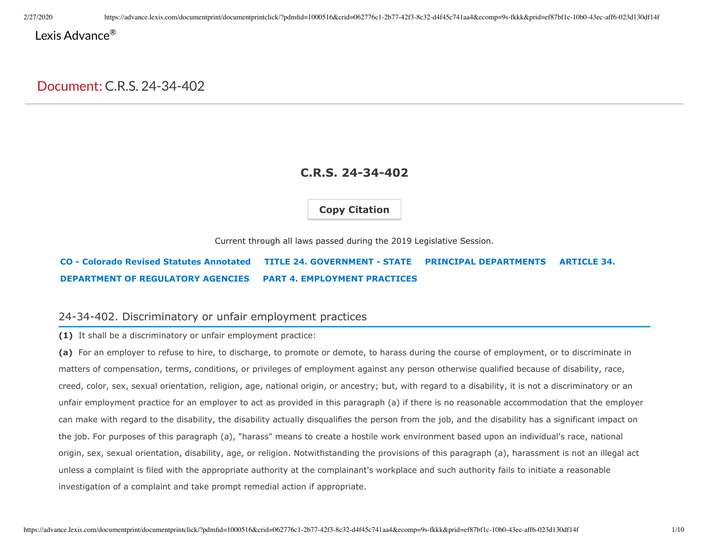# Lexis Advance<sup>®</sup>

# Document: C.R.S. 24-34-402

# **C.R.S. 24-34-402**

**Copy Citation**

Current through all laws passed during the 2019 Legislative Session.

# **CO - Colorado Revised Statutes Annotated TITLE 24. GOVERNMENT - STATE PRINCIPAL DEPARTMENTS ARTICLE 34. DEPARTMENT OF REGULATORY AGENCIES PART 4. EMPLOYMENT PRACTICES**

# 24-34-402. Discriminatory or unfair employment practices

**(1)** It shall be a discriminatory or unfair employment practice:

**(a)** For an employer to refuse to hire, to discharge, to promote or demote, to harass during the course of employment, or to discriminate in matters of compensation, terms, conditions, or privileges of employment against any person otherwise qualified because of disability, race, creed, color, sex, sexual orientation, religion, age, national origin, or ancestry; but, with regard to a disability, it is not a discriminatory or an unfair employment practice for an employer to act as provided in this paragraph (a) if there is no reasonable accommodation that the employer can make with regard to the disability, the disability actually disqualifies the person from the job, and the disability has a significant impact on the job. For purposes of this paragraph (a), "harass" means to create a hostile work environment based upon an individual's race, national origin, sex, sexual orientation, disability, age, or religion. Notwithstanding the provisions of this paragraph (a), harassment is not an illegal act unless a complaint is filed with the appropriate authority at the complainant's workplace and such authority fails to initiate a reasonable investigation of a complaint and take prompt remedial action if appropriate.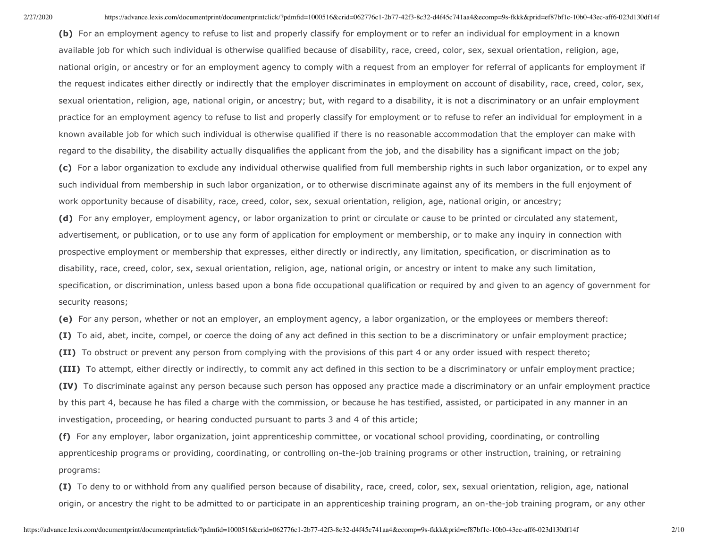**(b)** For an employment agency to refuse to list and properly classify for employment or to refer an individual for employment in a known available job for which such individual is otherwise qualified because of disability, race, creed, color, sex, sexual orientation, religion, age, national origin, or ancestry or for an employment agency to comply with a request from an employer for referral of applicants for employment if the request indicates either directly or indirectly that the employer discriminates in employment on account of disability, race, creed, color, sex, sexual orientation, religion, age, national origin, or ancestry; but, with regard to a disability, it is not a discriminatory or an unfair employment practice for an employment agency to refuse to list and properly classify for employment or to refuse to refer an individual for employment in a known available job for which such individual is otherwise qualified if there is no reasonable accommodation that the employer can make with regard to the disability, the disability actually disqualifies the applicant from the job, and the disability has a significant impact on the job; **(c)** For a labor organization to exclude any individual otherwise qualified from full membership rights in such labor organization, or to expel any such individual from membership in such labor organization, or to otherwise discriminate against any of its members in the full enjoyment of

**(d)** For any employer, employment agency, or labor organization to print or circulate or cause to be printed or circulated any statement, advertisement, or publication, or to use any form of application for employment or membership, or to make any inquiry in connection with prospective employment or membership that expresses, either directly or indirectly, any limitation, specification, or discrimination as to disability, race, creed, color, sex, sexual orientation, religion, age, national origin, or ancestry or intent to make any such limitation, specification, or discrimination, unless based upon a bona fide occupational qualification or required by and given to an agency of government for security reasons;

**(e)** For any person, whether or not an employer, an employment agency, a labor organization, or the employees or members thereof:

**(I)** To aid, abet, incite, compel, or coerce the doing of any act defined in this section to be a discriminatory or unfair employment practice;

**(II)** To obstruct or prevent any person from complying with the provisions of this part 4 or any order issued with respect thereto;

work opportunity because of disability, race, creed, color, sex, sexual orientation, religion, age, national origin, or ancestry;

**(III)** To attempt, either directly or indirectly, to commit any act defined in this section to be a discriminatory or unfair employment practice;

**(IV)** To discriminate against any person because such person has opposed any practice made a discriminatory or an unfair employment practice by this part 4, because he has filed a charge with the commission, or because he has testified, assisted, or participated in any manner in an investigation, proceeding, or hearing conducted pursuant to parts 3 and 4 of this article;

**(f)** For any employer, labor organization, joint apprenticeship committee, or vocational school providing, coordinating, or controlling apprenticeship programs or providing, coordinating, or controlling on-the-job training programs or other instruction, training, or retraining programs:

**(I)** To deny to or withhold from any qualified person because of disability, race, creed, color, sex, sexual orientation, religion, age, national origin, or ancestry the right to be admitted to or participate in an apprenticeship training program, an on-the-job training program, or any other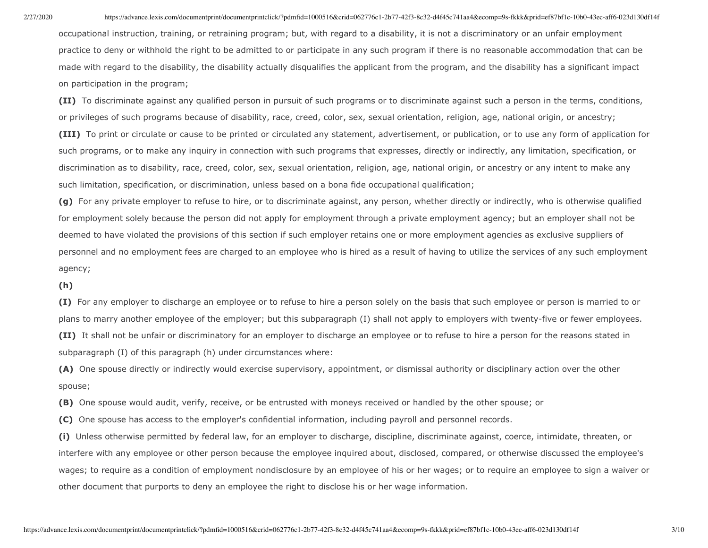occupational instruction, training, or retraining program; but, with regard to a disability, it is not a discriminatory or an unfair employment practice to deny or withhold the right to be admitted to or participate in any such program if there is no reasonable accommodation that can be made with regard to the disability, the disability actually disqualifies the applicant from the program, and the disability has a significant impact on participation in the program;

**(II)** To discriminate against any qualified person in pursuit of such programs or to discriminate against such a person in the terms, conditions, or privileges of such programs because of disability, race, creed, color, sex, sexual orientation, religion, age, national origin, or ancestry; **(III)** To print or circulate or cause to be printed or circulated any statement, advertisement, or publication, or to use any form of application for such programs, or to make any inquiry in connection with such programs that expresses, directly or indirectly, any limitation, specification, or discrimination as to disability, race, creed, color, sex, sexual orientation, religion, age, national origin, or ancestry or any intent to make any such limitation, specification, or discrimination, unless based on a bona fide occupational qualification;

**(g)** For any private employer to refuse to hire, or to discriminate against, any person, whether directly or indirectly, who is otherwise qualified for employment solely because the person did not apply for employment through a private employment agency; but an employer shall not be deemed to have violated the provisions of this section if such employer retains one or more employment agencies as exclusive suppliers of personnel and no employment fees are charged to an employee who is hired as a result of having to utilize the services of any such employment agency;

**(h)**

**(I)** For any employer to discharge an employee or to refuse to hire a person solely on the basis that such employee or person is married to or plans to marry another employee of the employer; but this subparagraph (I) shall not apply to employers with twenty-five or fewer employees. **(II)** It shall not be unfair or discriminatory for an employer to discharge an employee or to refuse to hire a person for the reasons stated in subparagraph (I) of this paragraph (h) under circumstances where:

**(A)** One spouse directly or indirectly would exercise supervisory, appointment, or dismissal authority or disciplinary action over the other spouse;

**(B)** One spouse would audit, verify, receive, or be entrusted with moneys received or handled by the other spouse; or

**(C)** One spouse has access to the employer's confidential information, including payroll and personnel records.

**(i)** Unless otherwise permitted by federal law, for an employer to discharge, discipline, discriminate against, coerce, intimidate, threaten, or interfere with any employee or other person because the employee inquired about, disclosed, compared, or otherwise discussed the employee's wages; to require as a condition of employment nondisclosure by an employee of his or her wages; or to require an employee to sign a waiver or other document that purports to deny an employee the right to disclose his or her wage information.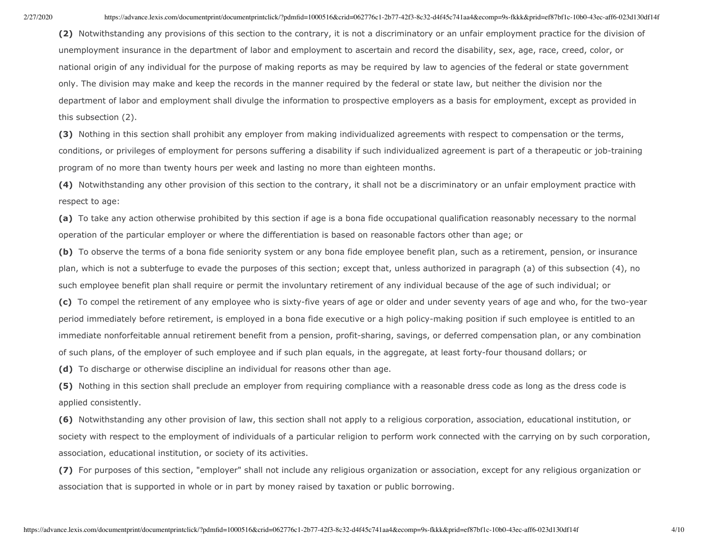**(2)** Notwithstanding any provisions of this section to the contrary, it is not a discriminatory or an unfair employment practice for the division of unemployment insurance in the department of labor and employment to ascertain and record the disability, sex, age, race, creed, color, or national origin of any individual for the purpose of making reports as may be required by law to agencies of the federal or state government only. The division may make and keep the records in the manner required by the federal or state law, but neither the division nor the department of labor and employment shall divulge the information to prospective employers as a basis for employment, except as provided in this subsection (2).

**(3)** Nothing in this section shall prohibit any employer from making individualized agreements with respect to compensation or the terms, conditions, or privileges of employment for persons suffering a disability if such individualized agreement is part of a therapeutic or job-training program of no more than twenty hours per week and lasting no more than eighteen months.

**(4)** Notwithstanding any other provision of this section to the contrary, it shall not be a discriminatory or an unfair employment practice with respect to age:

**(a)** To take any action otherwise prohibited by this section if age is a bona fide occupational qualification reasonably necessary to the normal operation of the particular employer or where the differentiation is based on reasonable factors other than age; or

**(b)** To observe the terms of a bona fide seniority system or any bona fide employee benefit plan, such as a retirement, pension, or insurance plan, which is not a subterfuge to evade the purposes of this section; except that, unless authorized in paragraph (a) of this subsection (4), no such employee benefit plan shall require or permit the involuntary retirement of any individual because of the age of such individual; or

**(c)** To compel the retirement of any employee who is sixty-five years of age or older and under seventy years of age and who, for the two-year period immediately before retirement, is employed in a bona fide executive or a high policy-making position if such employee is entitled to an immediate nonforfeitable annual retirement benefit from a pension, profit-sharing, savings, or deferred compensation plan, or any combination of such plans, of the employer of such employee and if such plan equals, in the aggregate, at least forty-four thousand dollars; or

**(d)** To discharge or otherwise discipline an individual for reasons other than age.

**(5)** Nothing in this section shall preclude an employer from requiring compliance with a reasonable dress code as long as the dress code is applied consistently.

**(6)** Notwithstanding any other provision of law, this section shall not apply to a religious corporation, association, educational institution, or society with respect to the employment of individuals of a particular religion to perform work connected with the carrying on by such corporation, association, educational institution, or society of its activities.

**(7)** For purposes of this section, "employer" shall not include any religious organization or association, except for any religious organization or association that is supported in whole or in part by money raised by taxation or public borrowing.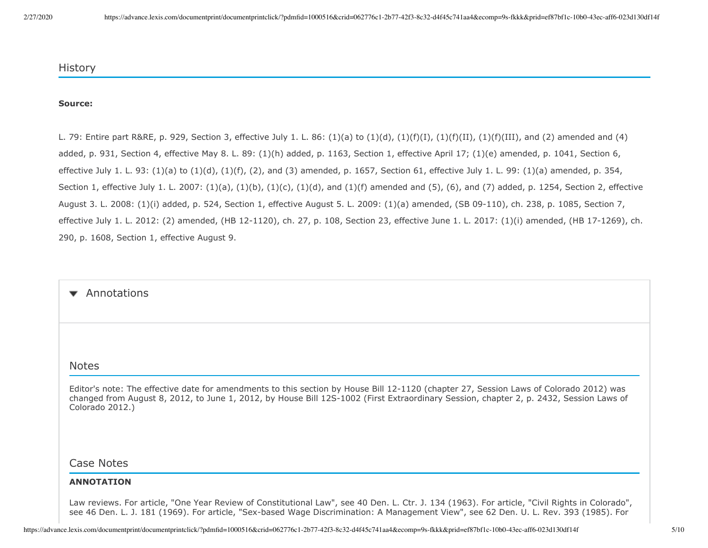### History

### **Source:**

L. 79: Entire part R&RE, p. 929, Section 3, effective July 1. L. 86:  $(1)(a)$  to  $(1)(d)$ ,  $(1)(f)(I)$ ,  $(1)(f)(II)$ ,  $(1)(f)(III)$ , and  $(2)$  amended and  $(4)$ added, p. 931, Section 4, effective May 8. L. 89: (1)(h) added, p. 1163, Section 1, effective April 17; (1)(e) amended, p. 1041, Section 6, effective July 1. L. 93: (1)(a) to (1)(d), (1)(f), (2), and (3) amended, p. 1657, Section 61, effective July 1. L. 99: (1)(a) amended, p. 354, Section 1, effective July 1. L. 2007: (1)(a), (1)(b), (1)(c), (1)(d), and (1)(f) amended and (5), (6), and (7) added, p. 1254, Section 2, effective August 3. L. 2008: (1)(i) added, p. 524, Section 1, effective August 5. L. 2009: (1)(a) amended, (SB 09-110), ch. 238, p. 1085, Section 7, effective July 1. L. 2012: (2) amended, (HB 12-1120), ch. 27, p. 108, Section 23, effective June 1. L. 2017: (1)(i) amended, (HB 17-1269), ch. 290, p. 1608, Section 1, effective August 9.

#### Annotations  $\blacktriangledown$

### Notes

Editor's note: The effective date for amendments to this section by House Bill 12-1120 (chapter 27, Session Laws of Colorado 2012) was changed from August 8, 2012, to June 1, 2012, by House Bill 12S-1002 (First Extraordinary Session, chapter 2, p. 2432, Session Laws of Colorado 2012.)

## Case Notes

#### **ANNOTATION**

Law reviews. For article, "One Year Review of Constitutional Law", see 40 Den. L. Ctr. J. 134 (1963). For article, "Civil Rights in Colorado", see 46 Den. L. J. 181 (1969). For article, "Sex-based Wage Discrimination: A Management View", see 62 Den. U. L. Rev. 393 (1985). For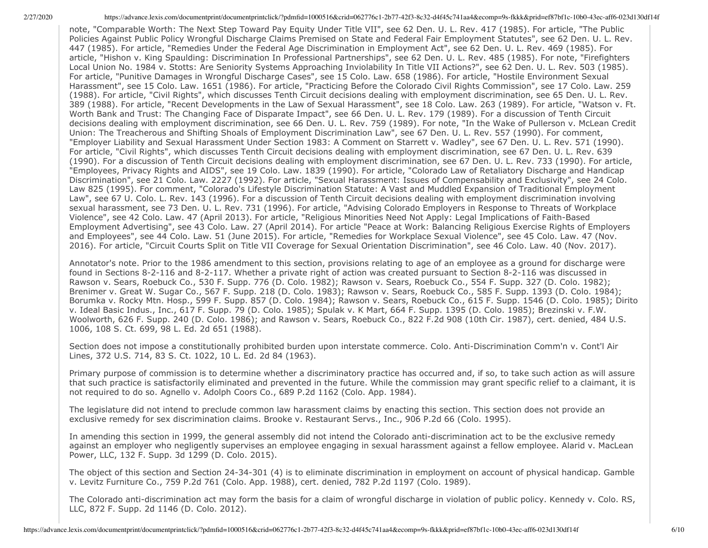note, "Comparable Worth: The Next Step Toward Pay Equity Under Title VII", see 62 Den. U. L. Rev. 417 (1985). For article, "The Public Policies Against Public Policy Wrongful Discharge Claims Premised on State and Federal Fair Employment Statutes", see 62 Den. U. L. Rev. 447 (1985). For article, "Remedies Under the Federal Age Discrimination in Employment Act", see 62 Den. U. L. Rev. 469 (1985). For article, "Hishon v. King Spaulding: Discrimination In Professional Partnerships", see 62 Den. U. L. Rev. 485 (1985). For note, "Firefighters Local Union No. 1984 v. Stotts: Are Seniority Systems Approaching Inviolability In Title VII Actions?", see 62 Den. U. L. Rev. 503 (1985). For article, "Punitive Damages in Wrongful Discharge Cases", see 15 Colo. Law. 658 (1986). For article, "Hostile Environment Sexual Harassment", see 15 Colo. Law. 1651 (1986). For article, "Practicing Before the Colorado Civil Rights Commission", see 17 Colo. Law. 259 (1988). For article, "Civil Rights", which discusses Tenth Circuit decisions dealing with employment discrimination, see 65 Den. U. L. Rev. 389 (1988). For article, "Recent Developments in the Law of Sexual Harassment", see 18 Colo. Law. 263 (1989). For article, "Watson v. Ft. Worth Bank and Trust: The Changing Face of Disparate Impact", see 66 Den. U. L. Rev. 179 (1989). For a discussion of Tenth Circuit decisions dealing with employment discrimination, see 66 Den. U. L. Rev. 759 (1989). For note, "In the Wake of Pullerson v. McLean Credit Union: The Treacherous and Shifting Shoals of Employment Discrimination Law", see 67 Den. U. L. Rev. 557 (1990). For comment, "Employer Liability and Sexual Harassment Under Section 1983: A Comment on Starrett v. Wadley", see 67 Den. U. L. Rev. 571 (1990). For article, "Civil Rights", which discusses Tenth Circuit decisions dealing with employment discrimination, see 67 Den. U. L. Rev. 639 (1990). For a discussion of Tenth Circuit decisions dealing with employment discrimination, see 67 Den. U. L. Rev. 733 (1990). For article, "Employees, Privacy Rights and AIDS", see 19 Colo. Law. 1839 (1990). For article, "Colorado Law of Retaliatory Discharge and Handicap Discrimination", see 21 Colo. Law. 2227 (1992). For article, "Sexual Harassment: Issues of Compensability and Exclusivity", see 24 Colo. Law 825 (1995). For comment, "Colorado's Lifestyle Discrimination Statute: A Vast and Muddled Expansion of Traditional Employment Law", see 67 U. Colo. L. Rev. 143 (1996). For a discussion of Tenth Circuit decisions dealing with employment discrimination involving sexual harassment, see 73 Den. U. L. Rev. 731 (1996). For article, "Advising Colorado Employers in Response to Threats of Workplace Violence", see 42 Colo. Law. 47 (April 2013). For article, "Religious Minorities Need Not Apply: Legal Implications of Faith-Based Employment Advertising", see 43 Colo. Law. 27 (April 2014). For article "Peace at Work: Balancing Religious Exercise Rights of Employers and Employees", see 44 Colo. Law. 51 (June 2015). For article, "Remedies for Workplace Sexual Violence", see 45 Colo. Law. 47 (Nov. 2016). For article, "Circuit Courts Split on Title VII Coverage for Sexual Orientation Discrimination", see 46 Colo. Law. 40 (Nov. 2017).

Annotator's note. Prior to the 1986 amendment to this section, provisions relating to age of an employee as a ground for discharge were found in Sections 8-2-116 and 8-2-117. Whether a private right of action was created pursuant to Section 8-2-116 was discussed in Rawson v. Sears, Roebuck Co., 530 F. Supp. 776 (D. Colo. 1982); Rawson v. Sears, Roebuck Co., 554 F. Supp. 327 (D. Colo. 1982); Brenimer v. Great W. Sugar Co., 567 F. Supp. 218 (D. Colo. 1983); Rawson v. Sears, Roebuck Co., 585 F. Supp. 1393 (D. Colo. 1984); Borumka v. Rocky Mtn. Hosp., 599 F. Supp. 857 (D. Colo. 1984); Rawson v. Sears, Roebuck Co., 615 F. Supp. 1546 (D. Colo. 1985); Dirito v. Ideal Basic Indus., Inc., 617 F. Supp. 79 (D. Colo. 1985); Spulak v. K Mart, 664 F. Supp. 1395 (D. Colo. 1985); Brezinski v. F.W. Woolworth, 626 F. Supp. 240 (D. Colo. 1986); and Rawson v. Sears, Roebuck Co., 822 F.2d 908 (10th Cir. 1987), cert. denied, 484 U.S. 1006, 108 S. Ct. 699, 98 L. Ed. 2d 651 (1988).

Section does not impose a constitutionally prohibited burden upon interstate commerce. Colo. Anti-Discrimination Comm'n v. Cont'l Air Lines, 372 U.S. 714, 83 S. Ct. 1022, 10 L. Ed. 2d 84 (1963).

Primary purpose of commission is to determine whether a discriminatory practice has occurred and, if so, to take such action as will assure that such practice is satisfactorily eliminated and prevented in the future. While the commission may grant specific relief to a claimant, it is not required to do so. Agnello v. Adolph Coors Co., 689 P.2d 1162 (Colo. App. 1984).

The legislature did not intend to preclude common law harassment claims by enacting this section. This section does not provide an exclusive remedy for sex discrimination claims. Brooke v. Restaurant Servs., Inc., 906 P.2d 66 (Colo. 1995).

In amending this section in 1999, the general assembly did not intend the Colorado anti-discrimination act to be the exclusive remedy against an employer who negligently supervises an employee engaging in sexual harassment against a fellow employee. Alarid v. MacLean Power, LLC, 132 F. Supp. 3d 1299 (D. Colo. 2015).

The object of this section and Section 24-34-301 (4) is to eliminate discrimination in employment on account of physical handicap. Gamble v. Levitz Furniture Co., 759 P.2d 761 (Colo. App. 1988), cert. denied, 782 P.2d 1197 (Colo. 1989).

The Colorado anti-discrimination act may form the basis for a claim of wrongful discharge in violation of public policy. Kennedy v. Colo. RS, LLC, 872 F. Supp. 2d 1146 (D. Colo. 2012).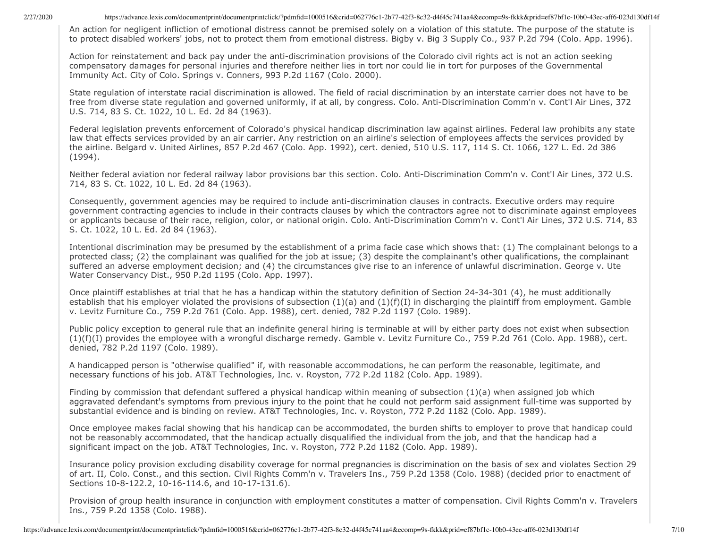An action for negligent infliction of emotional distress cannot be premised solely on a violation of this statute. The purpose of the statute is to protect disabled workers' jobs, not to protect them from emotional distress. Bigby v. Big 3 Supply Co., 937 P.2d 794 (Colo. App. 1996).

Action for reinstatement and back pay under the anti-discrimination provisions of the Colorado civil rights act is not an action seeking compensatory damages for personal injuries and therefore neither lies in tort nor could lie in tort for purposes of the Governmental Immunity Act. City of Colo. Springs v. Conners, 993 P.2d 1167 (Colo. 2000).

State regulation of interstate racial discrimination is allowed. The field of racial discrimination by an interstate carrier does not have to be free from diverse state regulation and governed uniformly, if at all, by congress. Colo. Anti-Discrimination Comm'n v. Cont'l Air Lines, 372 U.S. 714, 83 S. Ct. 1022, 10 L. Ed. 2d 84 (1963).

Federal legislation prevents enforcement of Colorado's physical handicap discrimination law against airlines. Federal law prohibits any state law that effects services provided by an air carrier. Any restriction on an airline's selection of employees affects the services provided by the airline. Belgard v. United Airlines, 857 P.2d 467 (Colo. App. 1992), cert. denied, 510 U.S. 117, 114 S. Ct. 1066, 127 L. Ed. 2d 386 (1994).

Neither federal aviation nor federal railway labor provisions bar this section. Colo. Anti-Discrimination Comm'n v. Cont'l Air Lines, 372 U.S. 714, 83 S. Ct. 1022, 10 L. Ed. 2d 84 (1963).

Consequently, government agencies may be required to include anti-discrimination clauses in contracts. Executive orders may require government contracting agencies to include in their contracts clauses by which the contractors agree not to discriminate against employees or applicants because of their race, religion, color, or national origin. Colo. Anti-Discrimination Comm'n v. Cont'l Air Lines, 372 U.S. 714, 83 S. Ct. 1022, 10 L. Ed. 2d 84 (1963).

Intentional discrimination may be presumed by the establishment of a prima facie case which shows that: (1) The complainant belongs to a protected class; (2) the complainant was qualified for the job at issue; (3) despite the complainant's other qualifications, the complainant suffered an adverse employment decision; and (4) the circumstances give rise to an inference of unlawful discrimination. George v. Ute Water Conservancy Dist., 950 P.2d 1195 (Colo. App. 1997).

Once plaintiff establishes at trial that he has a handicap within the statutory definition of Section 24-34-301 (4), he must additionally establish that his employer violated the provisions of subsection  $(1)(a)$  and  $(1)(f)(I)$  in discharging the plaintiff from employment. Gamble v. Levitz Furniture Co., 759 P.2d 761 (Colo. App. 1988), cert. denied, 782 P.2d 1197 (Colo. 1989).

Public policy exception to general rule that an indefinite general hiring is terminable at will by either party does not exist when subsection (1)(f)(I) provides the employee with a wrongful discharge remedy. Gamble v. Levitz Furniture Co., 759 P.2d 761 (Colo. App. 1988), cert. denied, 782 P.2d 1197 (Colo. 1989).

A handicapped person is "otherwise qualified" if, with reasonable accommodations, he can perform the reasonable, legitimate, and necessary functions of his job. AT&T Technologies, Inc. v. Royston, 772 P.2d 1182 (Colo. App. 1989).

Finding by commission that defendant suffered a physical handicap within meaning of subsection (1)(a) when assigned job which aggravated defendant's symptoms from previous injury to the point that he could not perform said assignment full-time was supported by substantial evidence and is binding on review. AT&T Technologies, Inc. v. Royston, 772 P.2d 1182 (Colo. App. 1989).

Once employee makes facial showing that his handicap can be accommodated, the burden shifts to employer to prove that handicap could not be reasonably accommodated, that the handicap actually disqualified the individual from the job, and that the handicap had a significant impact on the job. AT&T Technologies, Inc. v. Royston, 772 P.2d 1182 (Colo. App. 1989).

Insurance policy provision excluding disability coverage for normal pregnancies is discrimination on the basis of sex and violates Section 29 of art. II, Colo. Const., and this section. Civil Rights Comm'n v. Travelers Ins., 759 P.2d 1358 (Colo. 1988) (decided prior to enactment of Sections 10-8-122.2, 10-16-114.6, and 10-17-131.6).

Provision of group health insurance in conjunction with employment constitutes a matter of compensation. Civil Rights Comm'n v. Travelers Ins., 759 P.2d 1358 (Colo. 1988).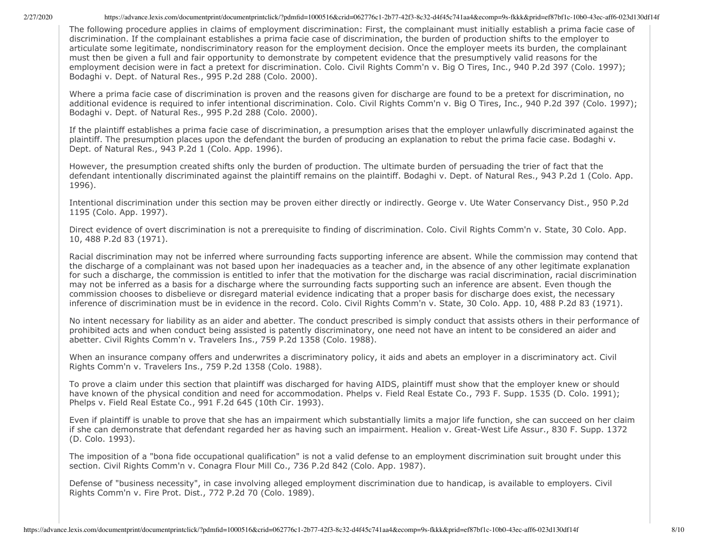The following procedure applies in claims of employment discrimination: First, the complainant must initially establish a prima facie case of discrimination. If the complainant establishes a prima facie case of discrimination, the burden of production shifts to the employer to articulate some legitimate, nondiscriminatory reason for the employment decision. Once the employer meets its burden, the complainant must then be given a full and fair opportunity to demonstrate by competent evidence that the presumptively valid reasons for the employment decision were in fact a pretext for discrimination. Colo. Civil Rights Comm'n v. Big O Tires, Inc., 940 P.2d 397 (Colo. 1997); Bodaghi v. Dept. of Natural Res., 995 P.2d 288 (Colo. 2000).

Where a prima facie case of discrimination is proven and the reasons given for discharge are found to be a pretext for discrimination, no additional evidence is required to infer intentional discrimination. Colo. Civil Rights Comm'n v. Big O Tires, Inc., 940 P.2d 397 (Colo. 1997); Bodaghi v. Dept. of Natural Res., 995 P.2d 288 (Colo. 2000).

If the plaintiff establishes a prima facie case of discrimination, a presumption arises that the employer unlawfully discriminated against the plaintiff. The presumption places upon the defendant the burden of producing an explanation to rebut the prima facie case. Bodaghi v. Dept. of Natural Res., 943 P.2d 1 (Colo. App. 1996).

However, the presumption created shifts only the burden of production. The ultimate burden of persuading the trier of fact that the defendant intentionally discriminated against the plaintiff remains on the plaintiff. Bodaghi v. Dept. of Natural Res., 943 P.2d 1 (Colo. App. 1996).

Intentional discrimination under this section may be proven either directly or indirectly. George v. Ute Water Conservancy Dist., 950 P.2d 1195 (Colo. App. 1997).

Direct evidence of overt discrimination is not a prerequisite to finding of discrimination. Colo. Civil Rights Comm'n v. State, 30 Colo. App. 10, 488 P.2d 83 (1971).

Racial discrimination may not be inferred where surrounding facts supporting inference are absent. While the commission may contend that the discharge of a complainant was not based upon her inadequacies as a teacher and, in the absence of any other legitimate explanation for such a discharge, the commission is entitled to infer that the motivation for the discharge was racial discrimination, racial discrimination may not be inferred as a basis for a discharge where the surrounding facts supporting such an inference are absent. Even though the commission chooses to disbelieve or disregard material evidence indicating that a proper basis for discharge does exist, the necessary inference of discrimination must be in evidence in the record. Colo. Civil Rights Comm'n v. State, 30 Colo. App. 10, 488 P.2d 83 (1971).

No intent necessary for liability as an aider and abetter. The conduct prescribed is simply conduct that assists others in their performance of prohibited acts and when conduct being assisted is patently discriminatory, one need not have an intent to be considered an aider and abetter. Civil Rights Comm'n v. Travelers Ins., 759 P.2d 1358 (Colo. 1988).

When an insurance company offers and underwrites a discriminatory policy, it aids and abets an employer in a discriminatory act. Civil Rights Comm'n v. Travelers Ins., 759 P.2d 1358 (Colo. 1988).

To prove a claim under this section that plaintiff was discharged for having AIDS, plaintiff must show that the employer knew or should have known of the physical condition and need for accommodation. Phelps v. Field Real Estate Co., 793 F. Supp. 1535 (D. Colo. 1991); Phelps v. Field Real Estate Co., 991 F.2d 645 (10th Cir. 1993).

Even if plaintiff is unable to prove that she has an impairment which substantially limits a major life function, she can succeed on her claim if she can demonstrate that defendant regarded her as having such an impairment. Healion v. Great-West Life Assur., 830 F. Supp. 1372 (D. Colo. 1993).

The imposition of a "bona fide occupational qualification" is not a valid defense to an employment discrimination suit brought under this section. Civil Rights Comm'n v. Conagra Flour Mill Co., 736 P.2d 842 (Colo. App. 1987).

Defense of "business necessity", in case involving alleged employment discrimination due to handicap, is available to employers. Civil Rights Comm'n v. Fire Prot. Dist., 772 P.2d 70 (Colo. 1989).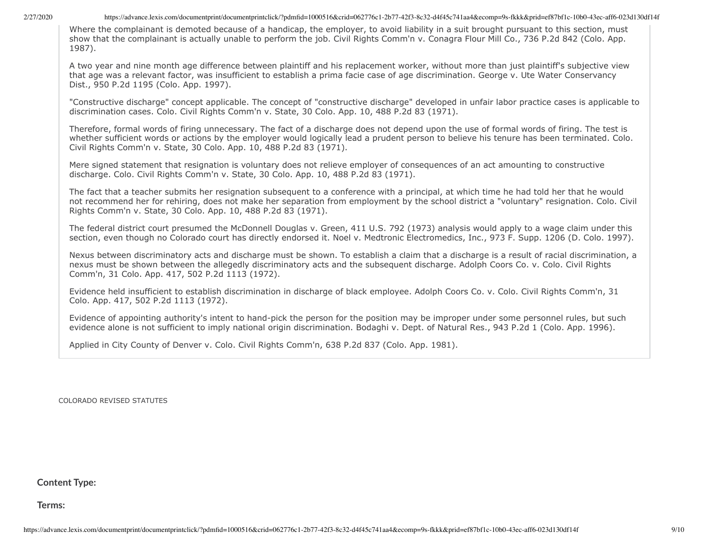Where the complainant is demoted because of a handicap, the employer, to avoid liability in a suit brought pursuant to this section, must show that the complainant is actually unable to perform the job. Civil Rights Comm'n v. Conagra Flour Mill Co., 736 P.2d 842 (Colo. App. 1987).

A two year and nine month age difference between plaintiff and his replacement worker, without more than just plaintiff's subjective view that age was a relevant factor, was insufficient to establish a prima facie case of age discrimination. George v. Ute Water Conservancy Dist., 950 P.2d 1195 (Colo. App. 1997).

"Constructive discharge" concept applicable. The concept of "constructive discharge" developed in unfair labor practice cases is applicable to discrimination cases. Colo. Civil Rights Comm'n v. State, 30 Colo. App. 10, 488 P.2d 83 (1971).

Therefore, formal words of firing unnecessary. The fact of a discharge does not depend upon the use of formal words of firing. The test is whether sufficient words or actions by the employer would logically lead a prudent person to believe his tenure has been terminated. Colo. Civil Rights Comm'n v. State, 30 Colo. App. 10, 488 P.2d 83 (1971).

Mere signed statement that resignation is voluntary does not relieve employer of consequences of an act amounting to constructive discharge. Colo. Civil Rights Comm'n v. State, 30 Colo. App. 10, 488 P.2d 83 (1971).

The fact that a teacher submits her resignation subsequent to a conference with a principal, at which time he had told her that he would not recommend her for rehiring, does not make her separation from employment by the school district a "voluntary" resignation. Colo. Civil Rights Comm'n v. State, 30 Colo. App. 10, 488 P.2d 83 (1971).

The federal district court presumed the McDonnell Douglas v. Green, 411 U.S. 792 (1973) analysis would apply to a wage claim under this section, even though no Colorado court has directly endorsed it. Noel v. Medtronic Electromedics, Inc., 973 F. Supp. 1206 (D. Colo. 1997).

Nexus between discriminatory acts and discharge must be shown. To establish a claim that a discharge is a result of racial discrimination, a nexus must be shown between the allegedly discriminatory acts and the subsequent discharge. Adolph Coors Co. v. Colo. Civil Rights Comm'n, 31 Colo. App. 417, 502 P.2d 1113 (1972).

Evidence held insufficient to establish discrimination in discharge of black employee. Adolph Coors Co. v. Colo. Civil Rights Comm'n, 31 Colo. App. 417, 502 P.2d 1113 (1972).

Evidence of appointing authority's intent to hand-pick the person for the position may be improper under some personnel rules, but such evidence alone is not sufficient to imply national origin discrimination. Bodaghi v. Dept. of Natural Res., 943 P.2d 1 (Colo. App. 1996).

Applied in City County of Denver v. Colo. Civil Rights Comm'n, 638 P.2d 837 (Colo. App. 1981).

COLORADO REVISED STATUTES

## **Content Type:**

**Terms:**